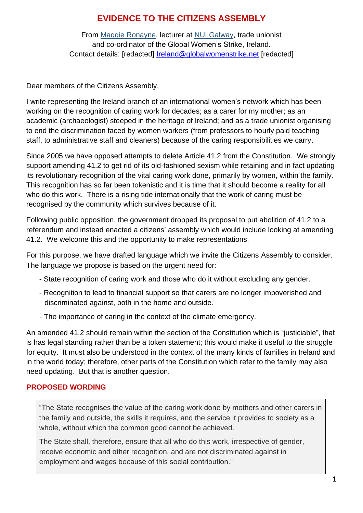# **EVIDENCE TO THE CITIZENS ASSEMBLY**

From [Maggie Ronayne,](https://www.irishtimes.com/topics/topics-7.1213540?article=true&tag_person=Maggie+Ronayne) lecturer at [NUI Galway,](https://www.irishtimes.com/topics/topics-7.1213540?article=true&tag_organisation=NUI+Galway) trade unionist and co-ordinator of the Global Women's Strike, Ireland. Contact details: [redacted] [Ireland@globalwomenstrike.net](mailto:Ireland@globalwomenstrike.net) [redacted]

Dear members of the Citizens Assembly,

I write representing the Ireland branch of an international women's network which has been working on the recognition of caring work for decades; as a carer for my mother; as an academic (archaeologist) steeped in the heritage of Ireland; and as a trade unionist organising to end the discrimination faced by women workers (from professors to hourly paid teaching staff, to administrative staff and cleaners) because of the caring responsibilities we carry.

Since 2005 we have opposed attempts to delete Article 41.2 from the Constitution. We strongly support amending 41.2 to get rid of its old-fashioned sexism while retaining and in fact updating its revolutionary recognition of the vital caring work done, primarily by women, within the family. This recognition has so far been tokenistic and it is time that it should become a reality for all who do this work. There is a rising tide internationally that the work of caring must be recognised by the community which survives because of it.

Following public opposition, the government dropped its proposal to put abolition of 41.2 to a referendum and instead enacted a citizens' assembly which would include looking at amending 41.2. We welcome this and the opportunity to make representations.

For this purpose, we have drafted language which we invite the Citizens Assembly to consider. The language we propose is based on the urgent need for:

- State recognition of caring work and those who do it without excluding any gender.
- Recognition to lead to financial support so that carers are no longer impoverished and discriminated against, both in the home and outside.
- The importance of caring in the context of the climate emergency.

An amended 41.2 should remain within the section of the Constitution which is "justiciable", that is has legal standing rather than be a token statement; this would make it useful to the struggle for equity. It must also be understood in the context of the many kinds of families in Ireland and in the world today; therefore, other parts of the Constitution which refer to the family may also need updating. But that is another question.

## **PROPOSED WORDING**

"The State recognises the value of the caring work done by mothers and other carers in the family and outside, the skills it requires, and the service it provides to society as a whole, without which the common good cannot be achieved.

The State shall, therefore, ensure that all who do this work, irrespective of gender, receive economic and other recognition, and are not discriminated against in employment and wages because of this social contribution."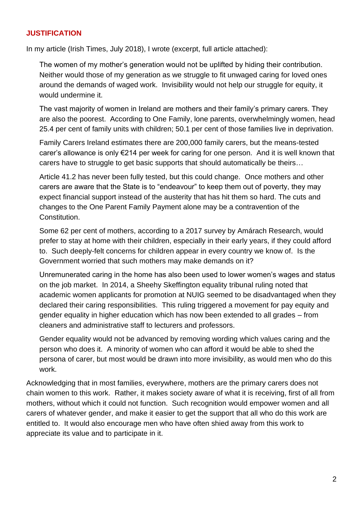#### **JUSTIFICATION**

In my article (Irish Times, July 2018), I wrote (excerpt, full article attached):

The women of my mother's generation would not be uplifted by hiding their contribution. Neither would those of my generation as we struggle to fit unwaged caring for loved ones around the demands of waged work. Invisibility would not help our struggle for equity, it would undermine it.

The vast majority of women in Ireland are mothers and their family's primary carers. They are also the poorest. According to One Family, lone parents, overwhelmingly women, head 25.4 per cent of family units with children; 50.1 per cent of those families live in deprivation.

Family Carers Ireland estimates there are 200,000 family carers, but the means-tested carer's allowance is only €214 per week for caring for one person. And it is well known that carers have to struggle to get basic supports that should automatically be theirs…

Article 41.2 has never been fully tested, but this could change. Once mothers and other carers are aware that the State is to "endeavour" to keep them out of poverty, they may expect financial support instead of the austerity that has hit them so hard. The cuts and changes to the One Parent Family Payment alone may be a contravention of the Constitution.

Some 62 per cent of mothers, according to a 2017 survey by Amárach Research, would prefer to stay at home with their children, especially in their early years, if they could afford to. Such deeply-felt concerns for children appear in every country we know of. Is the Government worried that such mothers may make demands on it?

Unremunerated caring in the home has also been used to lower women's wages and status on the job market. In 2014, a Sheehy Skeffington equality tribunal ruling noted that academic women applicants for promotion at NUIG seemed to be disadvantaged when they declared their caring responsibilities. This ruling triggered a movement for pay equity and gender equality in higher education which has now been extended to all grades – from cleaners and administrative staff to lecturers and professors.

Gender equality would not be advanced by removing wording which values caring and the person who does it. A minority of women who can afford it would be able to shed the persona of carer, but most would be drawn into more invisibility, as would men who do this work.

Acknowledging that in most families, everywhere, mothers are the primary carers does not chain women to this work. Rather, it makes society aware of what it is receiving, first of all from mothers, without which it could not function. Such recognition would empower women and all carers of whatever gender, and make it easier to get the support that all who do this work are entitled to. It would also encourage men who have often shied away from this work to appreciate its value and to participate in it.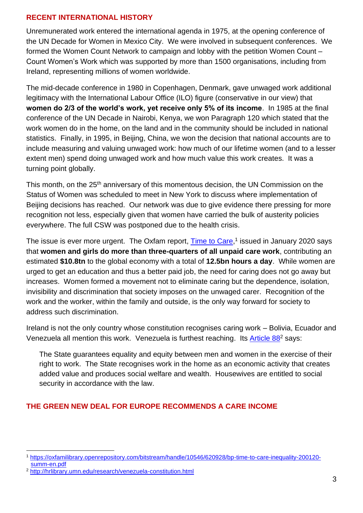#### **RECENT INTERNATIONAL HISTORY**

Unremunerated work entered the international agenda in 1975, at the opening conference of the UN Decade for Women in Mexico City. We were involved in subsequent conferences. We formed the Women Count Network to campaign and lobby with the petition Women Count – Count Women's Work which was supported by more than 1500 organisations, including from Ireland, representing millions of women worldwide.

The mid-decade conference in 1980 in Copenhagen, Denmark, gave unwaged work additional legitimacy with the International Labour Office (ILO) figure (conservative in our view) that **women do 2/3 of the world's work, yet receive only 5% of its income**. In 1985 at the final conference of the UN Decade in Nairobi, Kenya, we won Paragraph 120 which stated that the work women do in the home, on the land and in the community should be included in national statistics. Finally, in 1995, in Beijing, China, we won the decision that national accounts are to include measuring and valuing unwaged work: how much of our lifetime women (and to a lesser extent men) spend doing unwaged work and how much value this work creates. It was a turning point globally.

This month, on the 25<sup>th</sup> anniversary of this momentous decision, the UN Commission on the Status of Women was scheduled to meet in New York to discuss where implementation of Beijing decisions has reached. Our network was due to give evidence there pressing for more recognition not less, especially given that women have carried the bulk of austerity policies everywhere. The full CSW was postponed due to the health crisis.

The issue is ever more urgent. The Oxfam report, **Time to Care**,<sup>1</sup> issued in January 2020 says that **women and girls do more than three-quarters of all unpaid care work**, contributing an estimated **\$10.8tn** to the global economy with a total of **12.5bn hours a day**. While women are urged to get an education and thus a better paid job, the need for caring does not go away but increases. Women formed a movement not to eliminate caring but the dependence, isolation, invisibility and discrimination that society imposes on the unwaged carer. Recognition of the work and the worker, within the family and outside, is the only way forward for society to address such discrimination.

Ireland is not the only country whose constitution recognises caring work – Bolivia, Ecuador and Venezuela all mention this work. Venezuela is furthest reaching. Its [Article 88](http://hrlibrary.umn.edu/research/venezuela-constitution.html)<sup>2</sup> says:

The State guarantees equality and equity between men and women in the exercise of their right to work. The State recognises work in the home as an economic activity that creates added value and produces social welfare and wealth. Housewives are entitled to social security in accordance with the law.

## **THE GREEN NEW DEAL FOR EUROPE RECOMMENDS A CARE INCOME**

<sup>1</sup> [https://oxfamilibrary.openrepository.com/bitstream/handle/10546/620928/bp-time-to-care-inequality-200120](https://oxfamilibrary.openrepository.com/bitstream/handle/10546/620928/bp-time-to-care-inequality-200120-summ-en.pdf) [summ-en.pdf](https://oxfamilibrary.openrepository.com/bitstream/handle/10546/620928/bp-time-to-care-inequality-200120-summ-en.pdf)

<sup>2</sup> <http://hrlibrary.umn.edu/research/venezuela-constitution.html>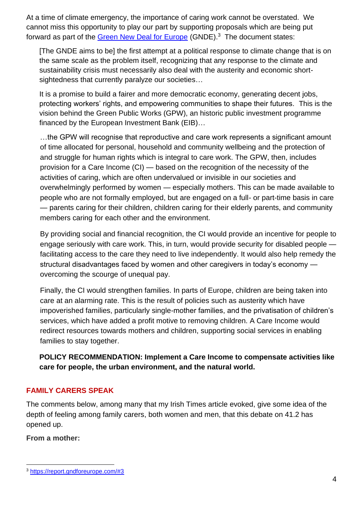At a time of climate emergency, the importance of caring work cannot be overstated. We cannot miss this opportunity to play our part by supporting proposals which are being put forward as part of the [Green New Deal for Europe](https://report.gndforeurope.com/#3) (GNDE).<sup>3</sup> The document states:

[The GNDE aims to be] the first attempt at a political response to climate change that is on the same scale as the problem itself, recognizing that any response to the climate and sustainability crisis must necessarily also deal with the austerity and economic shortsightedness that currently paralyze our societies…

It is a promise to build a fairer and more democratic economy, generating decent jobs, protecting workers' rights, and empowering communities to shape their futures. This is the vision behind the Green Public Works (GPW), an historic public investment programme financed by the European Investment Bank (EIB)…

…the GPW will recognise that reproductive and care work represents a significant amount of time allocated for personal, household and community wellbeing and the protection of and struggle for human rights which is integral to care work. The GPW, then, includes provision for a Care Income (CI) — based on the recognition of the necessity of the activities of caring, which are often undervalued or invisible in our societies and overwhelmingly performed by women — especially mothers. This can be made available to people who are not formally employed, but are engaged on a full- or part-time basis in care — parents caring for their children, children caring for their elderly parents, and community members caring for each other and the environment.

By providing social and financial recognition, the CI would provide an incentive for people to engage seriously with care work. This, in turn, would provide security for disabled people facilitating access to the care they need to live independently. It would also help remedy the structural disadvantages faced by women and other caregivers in today's economy overcoming the scourge of unequal pay.

Finally, the CI would strengthen families. In parts of Europe, children are being taken into care at an alarming rate. This is the result of policies such as austerity which have impoverished families, particularly single-mother families, and the privatisation of children's services, which have added a profit motive to removing children. A Care Income would redirect resources towards mothers and children, supporting social services in enabling families to stay together.

**POLICY RECOMMENDATION: Implement a Care Income to compensate activities like care for people, the urban environment, and the natural world.**

## **FAMILY CARERS SPEAK**

The comments below, among many that my Irish Times article evoked, give some idea of the depth of feeling among family carers, both women and men, that this debate on 41.2 has opened up.

## **From a mother:**

<sup>3</sup> <https://report.gndforeurope.com/#3>